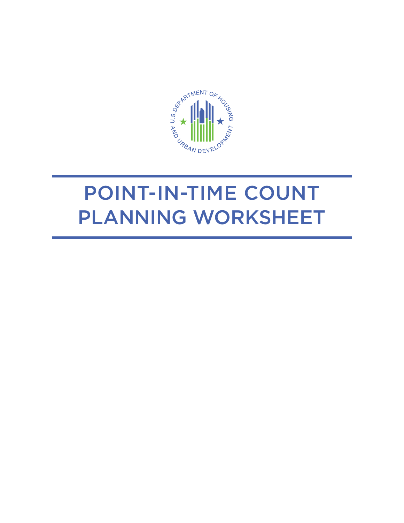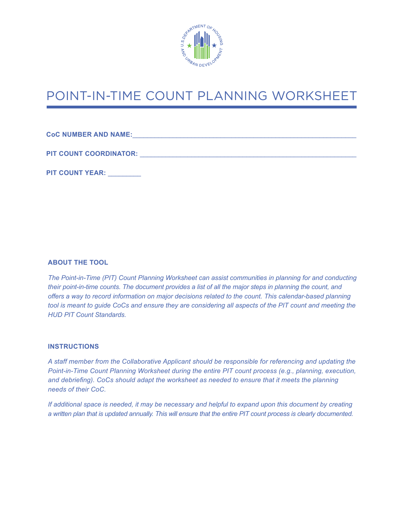

**CoC NUMBER AND NAME: COLORISTIC AND A SET AND A SET AND A SET AND A SET AND A SET AND A SET AND A SET AND A SET AND A SET AND A SET AND A SET AND A SET AND A SET AND A SET AND A SET AND A SET AND A SET AND A SET AND A S** 

PIT COUNT COORDINATOR: **with a set of the set of the set of the set of the set of the set of the set of the set of the set of the set of the set of the set of the set of the set of the set of the set of the set of the set** 

**PIT COUNT YEAR:** \_\_\_\_\_\_\_\_\_

#### **ABOUT THE TOOL**

*The Point-in-Time (PIT) Count Planning Worksheet can assist communities in planning for and conducting their point-in-time counts. The document provides a list of all the major steps in planning the count, and offers a way to record information on major decisions related to the count. This calendar-based planning tool is meant to guide CoCs and ensure they are considering all aspects of the PIT count and meeting the HUD PIT Count Standards.* 

#### **INSTRUCTIONS**

*A staff member from the Collaborative Applicant should be responsible for referencing and updating the Point-in-Time Count Planning Worksheet during the entire PIT count process (e.g., planning, execution, and debriefing). CoCs should adapt the worksheet as needed to ensure that it meets the planning needs of their CoC.*

*If additional space is needed, it may be necessary and helpful to expand upon this document by creating a written plan that is updated annually. This will ensure that the entire PIT count process is clearly documented.*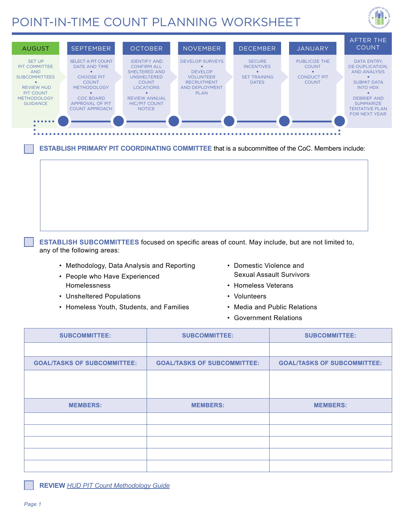



**ESTABLISH PRIMARY PIT COORDINATING COMMITTEE** that is a subcommittee of the CoC. Members include:

**ESTABLISH SUBCOMMITTEES** focused on specific areas of count. May include, but are not limited to, any of the following areas:

- Methodology, Data Analysis and Reporting Domestic Violence and
- People who Have Experienced **Experience Experience Expendition** Sexual Assault Survivors Homelessness • Homeless Veterans
- Unsheltered Populations Volunteers
- Homeless Youth, Students, and Families Media and Public Relations
- 
- 
- -
	- Government Relations

| <b>SUBCOMMITTEE:</b>               | <b>SUBCOMMITTEE:</b>               | <b>SUBCOMMITTEE:</b>               |  |
|------------------------------------|------------------------------------|------------------------------------|--|
|                                    |                                    |                                    |  |
| <b>GOAL/TASKS OF SUBCOMMITTEE:</b> | <b>GOAL/TASKS OF SUBCOMMITTEE:</b> | <b>GOAL/TASKS OF SUBCOMMITTEE:</b> |  |
|                                    |                                    |                                    |  |
|                                    |                                    |                                    |  |
| <b>MEMBERS:</b>                    | <b>MEMBERS:</b>                    | <b>MEMBERS:</b>                    |  |
|                                    |                                    |                                    |  |
|                                    |                                    |                                    |  |
|                                    |                                    |                                    |  |
|                                    |                                    |                                    |  |
|                                    |                                    |                                    |  |

**REVIEW** *[HUD PIT Count Methodology Guide](https://www.hudexchange.info/resources/documents/PIT-Count-Methodology-Guide.pdf)*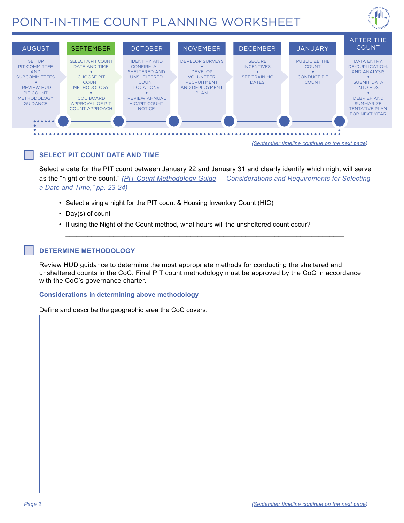



*(September timeline continue on the next page)*

#### **SELECT PIT COUNT DATE AND TIME**

Select a date for the PIT count between January 22 and January 31 and clearly identify which night will serve as the "night of the count." *([PIT Count Methodology Guide](https://www.hudexchange.info/resources/documents/PIT-Count-Methodology-Guide.pdf) – "Considerations and Requirements for Selecting a Date and Time," pp. 23-24)* 

\_\_\_\_\_\_\_\_\_\_\_\_\_\_\_\_\_\_\_\_\_\_\_\_\_\_\_\_\_\_\_\_\_\_\_\_\_\_\_\_\_\_\_\_\_\_\_\_\_\_\_\_\_\_\_\_\_\_\_\_\_\_\_\_\_\_\_\_\_\_\_\_\_\_\_\_

- Select a single night for the PIT count & Housing Inventory Count (HIC)
- Day(s) of count
- If using the Night of the Count method, what hours will the unsheltered count occur?

#### **DETERMINE METHODOLOGY**

Review HUD guidance to determine the most appropriate methods for conducting the sheltered and unsheltered counts in the CoC. Final PIT count methodology must be approved by the CoC in accordance with the CoC's governance charter.

#### **Considerations in determining above methodology**

Define and describe the geographic area the CoC covers.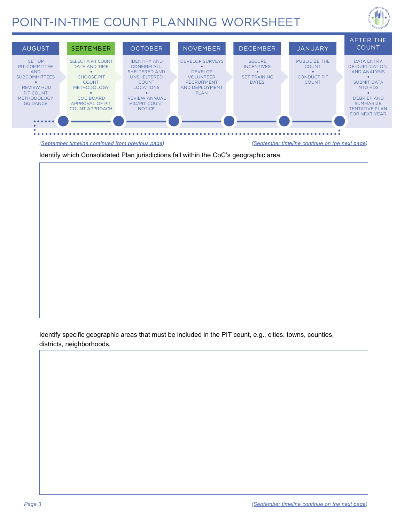



*(September timeline continued from previous page) (September timeline continue on the next page)*

Identify which Consolidated Plan jurisdictions fall within the CoC's geographic area.

Identify specific geographic areas that must be included in the PIT count, e.g., cities, towns, counties, districts, neighborhoods.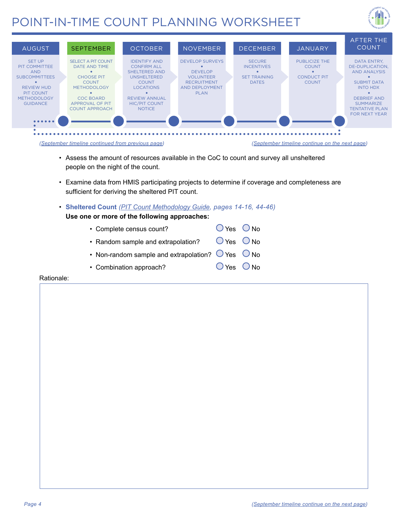





- Assess the amount of resources available in the CoC to count and survey all unsheltered people on the night of the count.
- Examine data from HMIS participating projects to determine if coverage and completeness are sufficient for deriving the sheltered PIT count.
- • **Sheltered Count** *[\(PIT Count Methodology Guide,](https://www.hudexchange.info/resources/documents/PIT-Count-Methodology-Guide.pdf) pages 14-16, 44-46)*
	- **Use one or more of the following approaches:** 
		- $O$  Yes  $O$  No • Random sample and extrapolation?  $\bigcup$  Yes  $\bigcup$  No • Non-random sample and extrapolation?  $\bigcup$  Yes  $\bigcup$  No • Complete census count?
		- O Yes O No • Combination approach?

#### Rationale: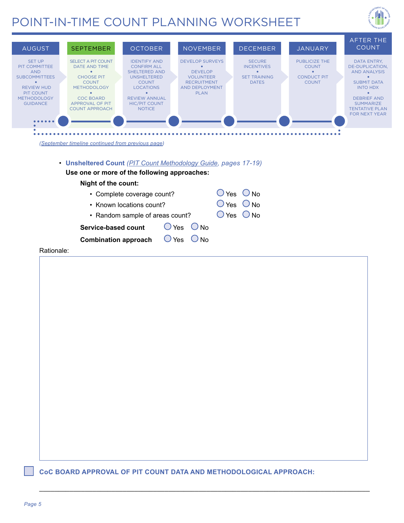



\_\_\_\_\_\_\_\_\_\_\_\_\_\_\_\_\_\_\_\_\_\_\_\_\_\_\_\_\_\_\_\_\_\_\_\_\_\_\_\_\_\_\_\_\_\_\_\_\_\_\_\_\_\_\_\_\_\_\_\_\_\_\_\_\_\_\_\_\_\_\_\_\_\_\_\_\_\_\_\_\_\_\_\_\_\_\_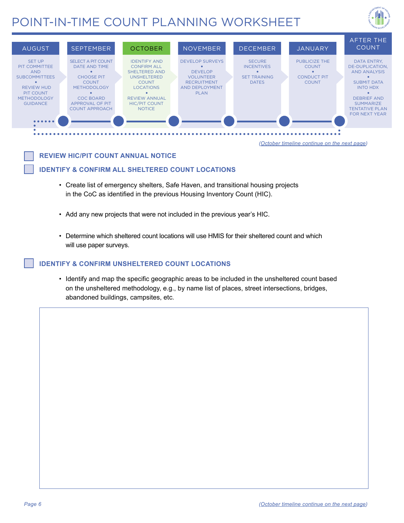



**REVIEW HIC/PIT COUNT ANNUAL NOTICE** 

#### **IDENTIFY & CONFIRM ALL SHELTERED COUNT LOCATIONS**

- Create list of emergency shelters, Safe Haven, and transitional housing projects in the CoC as identified in the previous Housing Inventory Count (HIC).
- Add any new projects that were not included in the previous year's HIC.
- Determine which sheltered count locations will use HMIS for their sheltered count and which will use paper surveys.

#### **IDENTIFY & CONFIRM UNSHELTERED COUNT LOCATIONS**

• Identify and map the specific geographic areas to be included in the unsheltered count based on the unsheltered methodology, e.g., by name list of places, street intersections, bridges, abandoned buildings, campsites, etc.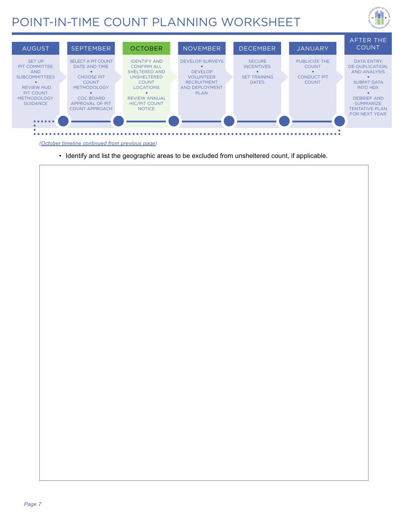



*(October timeline continued from previous page)*

• Identify and list the geographic areas to be excluded from unsheltered count, if applicable.

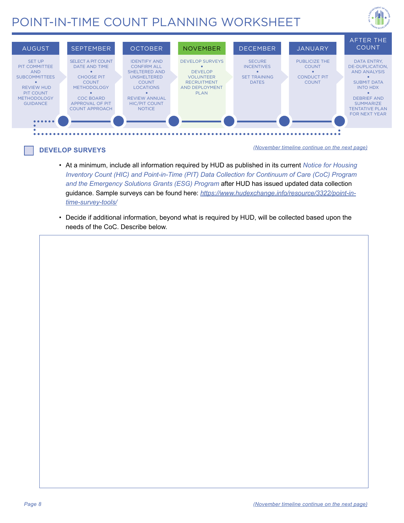



### **DEVELOP SURVEYS**

*(November timeline continue on the next page)*

- At a minimum, include all information required by HUD as published in its current *Notice for Housing Inventory Count (HIC) and Point-in-Time (PIT) Data Collection for Continuum of Care (CoC) Program and the Emergency Solutions Grants (ESG) Program* after HUD has issued updated data collection guidance. Sample surveys can be found here: *[https://www.hudexchange.info/resource/3322/point-in](https://www.hudexchange.info/resource/3322/point-in-time-survey-tools/)[time-survey-tools/](https://www.hudexchange.info/resource/3322/point-in-time-survey-tools/)*
- Decide if additional information, beyond what is required by HUD, will be collected based upon the needs of the CoC. Describe below.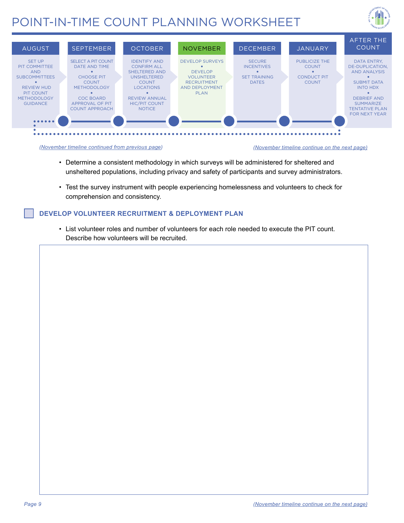





- Determine a consistent methodology in which surveys will be administered for sheltered and unsheltered populations, including privacy and safety of participants and survey administrators.
- Test the survey instrument with people experiencing homelessness and volunteers to check for comprehension and consistency.

#### **DEVELOP VOLUNTEER RECRUITMENT & DEPLOYMENT PLAN**

• List volunteer roles and number of volunteers for each role needed to execute the PIT count. Describe how volunteers will be recruited.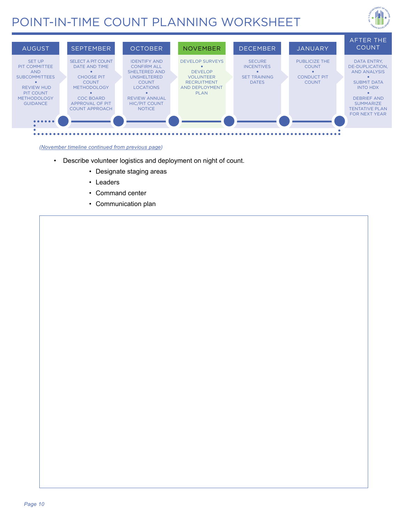



#### *(November timeline continued from previous page)*

- Describe volunteer logistics and deployment on night of count.
	- Designate staging areas
	- Leaders
	- Command center
	- Communication plan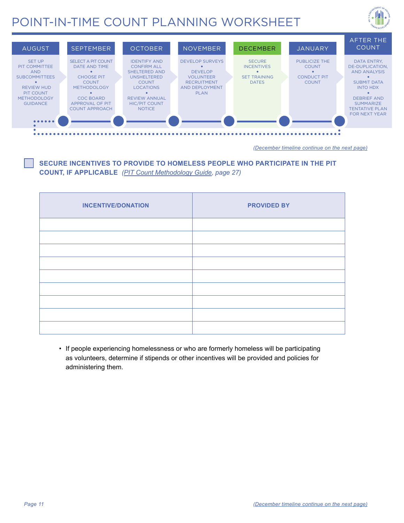



*(December timeline continue on the next page)*

### **SECURE INCENTIVES TO PROVIDE TO HOMELESS PEOPLE WHO PARTICIPATE IN THE PIT COUNT, IF APPLICABLE** *([PIT Count Methodology Guide,](https://www.hudexchange.info/resources/documents/PIT-Count-Methodology-Guide.pdf) page 27)*

| <b>INCENTIVE/DONATION</b> | <b>PROVIDED BY</b> |  |
|---------------------------|--------------------|--|
|                           |                    |  |
|                           |                    |  |
|                           |                    |  |
|                           |                    |  |
|                           |                    |  |
|                           |                    |  |
|                           |                    |  |
|                           |                    |  |
|                           |                    |  |

• If people experiencing homelessness or who are formerly homeless will be participating as volunteers, determine if stipends or other incentives will be provided and policies for administering them.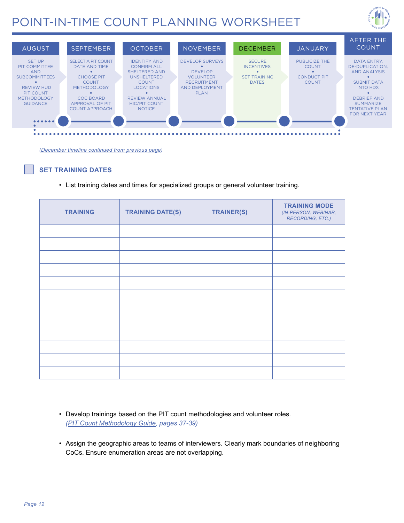



*(December timeline continued from previous page)*

#### **SET TRAINING DATES**

• List training dates and times for specialized groups or general volunteer training.

| <b>TRAINING</b> | <b>TRAINING DATE(S)</b> | TRAINER(S) | <b>TRAINING MODE</b><br>(IN-PERSON, WEBINAR,<br>RECORDING, ETC.) |
|-----------------|-------------------------|------------|------------------------------------------------------------------|
|                 |                         |            |                                                                  |
|                 |                         |            |                                                                  |
|                 |                         |            |                                                                  |
|                 |                         |            |                                                                  |
|                 |                         |            |                                                                  |
|                 |                         |            |                                                                  |
|                 |                         |            |                                                                  |
|                 |                         |            |                                                                  |
|                 |                         |            |                                                                  |
|                 |                         |            |                                                                  |
|                 |                         |            |                                                                  |
|                 |                         |            |                                                                  |

- Develop trainings based on the PIT count methodologies and volunteer roles. *([PIT Count Methodology Guide](https://www.hudexchange.info/resources/documents/PIT-Count-Methodology-Guide.pdf), pages 37-39)*
- Assign the geographic areas to teams of interviewers. Clearly mark boundaries of neighboring CoCs. Ensure enumeration areas are not overlapping.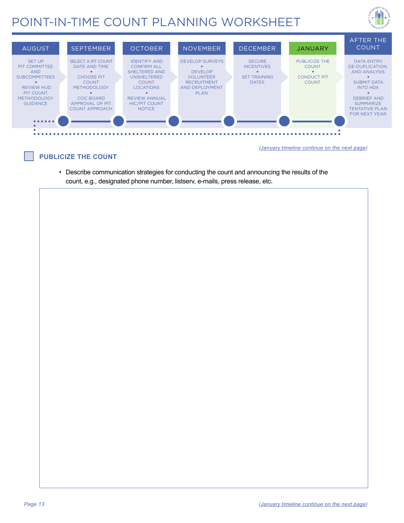



#### **PUBLICIZE THE COUNT**

*(January timeline continue on the next page)*

• Describe communication strategies for conducting the count and announcing the results of the count, e.g., designated phone number, listserv, e-mails, press release, etc.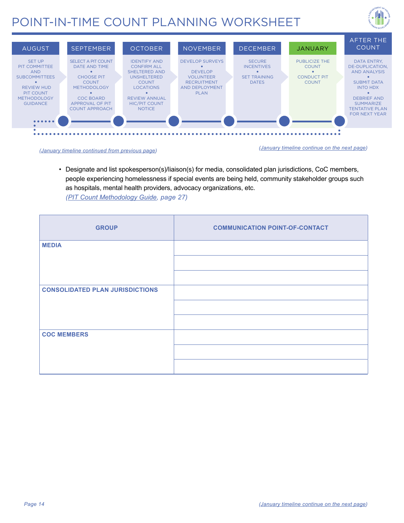





 as hospitals, mental health providers, advocacy organizations, etc. • Designate and list spokesperson(s)/liaison(s) for media, consolidated plan jurisdictions, CoC members, people experiencing homelessness if special events are being held, community stakeholder groups such *([PIT Count Methodology Guide](https://www.hudexchange.info/resources/documents/PIT-Count-Methodology-Guide.pdf), page 27)* 

| <b>GROUP</b>                           | <b>COMMUNICATION POINT-OF-CONTACT</b> |
|----------------------------------------|---------------------------------------|
| <b>MEDIA</b>                           |                                       |
|                                        |                                       |
|                                        |                                       |
| <b>CONSOLIDATED PLAN JURISDICTIONS</b> |                                       |
|                                        |                                       |
|                                        |                                       |
| <b>COC MEMBERS</b>                     |                                       |
|                                        |                                       |
|                                        |                                       |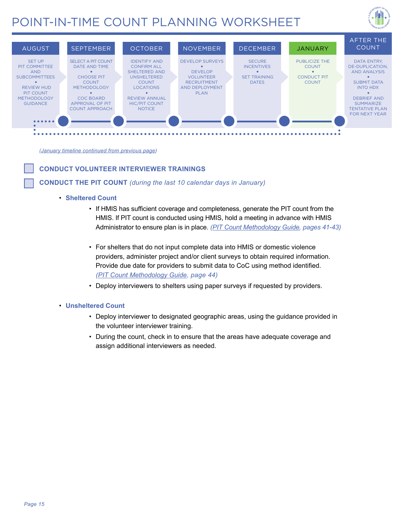



*(January timeline continued from previous page)*

#### **CONDUCT VOLUNTEER INTERVIEWER TRAININGS**

#### **CONDUCT THE PIT COUNT** *(during the last 10 calendar days in January)*

#### • **Sheltered Count**

- If HMIS has sufficient coverage and completeness, generate the PIT count from the HMIS. If PIT count is conducted using HMIS, hold a meeting in advance with HMIS Administrator to ensure plan is in place. *[\(PIT Count Methodology Guide,](https://www.hudexchange.info/resources/documents/PIT-Count-Methodology-Guide.pdf) pages 41-43)*
- *([PIT Count Methodology Guide](https://www.hudexchange.info/resources/documents/PIT-Count-Methodology-Guide.pdf), page 44)* • For shelters that do not input complete data into HMIS or domestic violence providers, administer project and/or client surveys to obtain required information. Provide due date for providers to submit data to CoC using method identified.
- Deploy interviewers to shelters using paper surveys if requested by providers.

#### • **Unsheltered Count**

- Deploy interviewer to designated geographic areas, using the guidance provided in the volunteer interviewer training.
- During the count, check in to ensure that the areas have adequate coverage and assign additional interviewers as needed.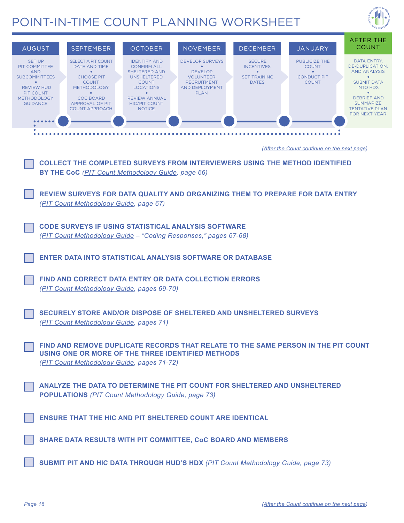

| <b>OCTOBER</b><br><b>NOVEMBER</b><br><b>AUGUST</b><br><b>SEPTEMBER</b><br><b>DECEMBER</b><br><b>JANUARY</b><br><b>SET UP</b><br><b>SELECT A PIT COUNT</b><br><b>IDENTIFY AND</b><br><b>DEVELOP SURVEYS</b><br><b>SECURE</b><br><b>PUBLICIZE THE</b><br>PIT COMMITTEE<br>DATE AND TIME<br><b>CONFIRM ALL</b><br><b>INCENTIVES</b><br><b>COUNT</b><br>$\bullet$<br><b>SHELTERED AND</b><br><b>DEVELOP</b><br><b>AND</b><br>$\bullet$<br>$\bullet$<br>$\bullet$<br><b>SUBCOMMITTEES</b><br><b>CHOOSE PIT</b><br><b>UNSHELTERED</b><br><b>VOLUNTEER</b><br><b>SET TRAINING</b><br><b>CONDUCT PIT</b><br><b>COUNT</b><br><b>RECRUITMENT</b><br><b>DATES</b><br><b>COUNT</b><br>$\bullet$<br><b>COUNT</b> | AFTER THE<br><b>COUNT</b><br>DATA ENTRY.<br>DE-DUPLICATION,<br><b>AND ANALYSIS</b><br>$\bullet$<br><b>SUBMIT DATA</b>   |  |  |  |  |  |
|-----------------------------------------------------------------------------------------------------------------------------------------------------------------------------------------------------------------------------------------------------------------------------------------------------------------------------------------------------------------------------------------------------------------------------------------------------------------------------------------------------------------------------------------------------------------------------------------------------------------------------------------------------------------------------------------------------|-------------------------------------------------------------------------------------------------------------------------|--|--|--|--|--|
| <b>REVIEW HUD</b><br><b>LOCATIONS</b><br>AND DEPLOYMENT<br><b>METHODOLOGY</b><br>PIT COUNT<br>$\bullet$<br>$\bullet$<br><b>PLAN</b><br><b>COC BOARD</b><br><b>REVIEW ANNUAL</b><br><b>METHODOLOGY</b><br><b>GUIDANCE</b><br>APPROVAL OF PIT<br><b>HIC/PIT COUNT</b><br><b>COUNT APPROACH</b><br><b>NOTICE</b>                                                                                                                                                                                                                                                                                                                                                                                       | <b>INTO HDX</b><br>$\bullet$<br><b>DEBRIEF AND</b><br><b>SUMMARIZE</b><br><b>TENTATIVE PLAN</b><br><b>FOR NEXT YEAR</b> |  |  |  |  |  |
|                                                                                                                                                                                                                                                                                                                                                                                                                                                                                                                                                                                                                                                                                                     |                                                                                                                         |  |  |  |  |  |
| (After the Count continue on the next page)                                                                                                                                                                                                                                                                                                                                                                                                                                                                                                                                                                                                                                                         |                                                                                                                         |  |  |  |  |  |
| <b>COLLECT THE COMPLETED SURVEYS FROM INTERVIEWERS USING THE METHOD IDENTIFIED</b><br><b>BY THE CoC</b> (PIT Count Methodology Guide, page 66)                                                                                                                                                                                                                                                                                                                                                                                                                                                                                                                                                      |                                                                                                                         |  |  |  |  |  |
| REVIEW SURVEYS FOR DATA QUALITY AND ORGANIZING THEM TO PREPARE FOR DATA ENTRY<br>(PIT Count Methodology Guide, page 67)                                                                                                                                                                                                                                                                                                                                                                                                                                                                                                                                                                             |                                                                                                                         |  |  |  |  |  |
| <b>CODE SURVEYS IF USING STATISTICAL ANALYSIS SOFTWARE</b><br>(PIT Count Methodology Guide - "Coding Responses," pages 67-68)                                                                                                                                                                                                                                                                                                                                                                                                                                                                                                                                                                       |                                                                                                                         |  |  |  |  |  |
| <b>ENTER DATA INTO STATISTICAL ANALYSIS SOFTWARE OR DATABASE</b>                                                                                                                                                                                                                                                                                                                                                                                                                                                                                                                                                                                                                                    |                                                                                                                         |  |  |  |  |  |
| FIND AND CORRECT DATA ENTRY OR DATA COLLECTION ERRORS<br>(PIT Count Methodology Guide, pages 69-70)                                                                                                                                                                                                                                                                                                                                                                                                                                                                                                                                                                                                 |                                                                                                                         |  |  |  |  |  |
| SECURELY STORE AND/OR DISPOSE OF SHELTERED AND UNSHELTERED SURVEYS<br>(PIT Count Methodology Guide, pages 71)                                                                                                                                                                                                                                                                                                                                                                                                                                                                                                                                                                                       |                                                                                                                         |  |  |  |  |  |
| FIND AND REMOVE DUPLICATE RECORDS THAT RELATE TO THE SAME PERSON IN THE PIT COUNT<br>USING ONE OR MORE OF THE THREE IDENTIFIED METHODS<br>(PIT Count Methodology Guide, pages 71-72)                                                                                                                                                                                                                                                                                                                                                                                                                                                                                                                |                                                                                                                         |  |  |  |  |  |
| ANALYZE THE DATA TO DETERMINE THE PIT COUNT FOR SHELTERED AND UNSHELTERED<br><b>POPULATIONS</b> (PIT Count Methodology Guide, page 73)                                                                                                                                                                                                                                                                                                                                                                                                                                                                                                                                                              |                                                                                                                         |  |  |  |  |  |
| <b>ENSURE THAT THE HIC AND PIT SHELTERED COUNT ARE IDENTICAL</b>                                                                                                                                                                                                                                                                                                                                                                                                                                                                                                                                                                                                                                    |                                                                                                                         |  |  |  |  |  |
| SHARE DATA RESULTS WITH PIT COMMITTEE, CoC BOARD AND MEMBERS                                                                                                                                                                                                                                                                                                                                                                                                                                                                                                                                                                                                                                        |                                                                                                                         |  |  |  |  |  |
| <b>SUBMIT PIT AND HIC DATA THROUGH HUD'S HDX</b> (PIT Count Methodology Guide, page 73)                                                                                                                                                                                                                                                                                                                                                                                                                                                                                                                                                                                                             |                                                                                                                         |  |  |  |  |  |